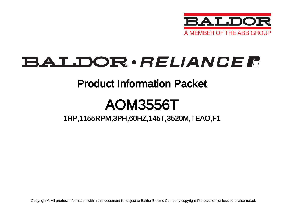

# BALDOR · RELIANCE F

## Product Information Packet

# AOM3556T

## 1HP,1155RPM,3PH,60HZ,145T,3520M,TEAO,F1

Copyright © All product information within this document is subject to Baldor Electric Company copyright © protection, unless otherwise noted.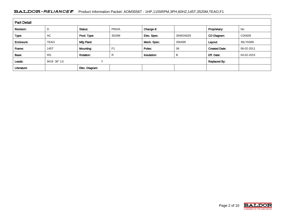### BALDOR · RELIANCE F Product Information Packet: AOM3556T - 1HP,1155RPM,3PH,60HZ,145T,3520M,TEAO,F1

| <b>Part Detail</b> |                  |                  |                |             |          |                      |            |  |
|--------------------|------------------|------------------|----------------|-------------|----------|----------------------|------------|--|
| Revision:          | D                | Status:          | PRD/A          | Change #:   |          | Proprietary:         | No         |  |
| Type:              | AC               | Prod. Type:      | 3520M          | Elec. Spec: | 35WGN025 | CD Diagram:          | CD0005     |  |
| Enclosure:         | <b>TEAO</b>      | Mfg Plant:       |                | Mech. Spec: | 35K695   | Layout:              | 35LYK695   |  |
| Frame:             | 145T             | Mounting:        | F <sub>1</sub> | Poles:      | 06       | <b>Created Date:</b> | 06-02-2011 |  |
| Base:              | <b>RG</b>        | <b>Rotation:</b> | R              | Insulation: | B        | Eff. Date:           | 04-02-2015 |  |
| Leads:             | 9#18 36" LG<br>v |                  |                |             |          | <b>Replaced By:</b>  |            |  |
| Literature:        |                  | Elec. Diagram:   |                |             |          |                      |            |  |

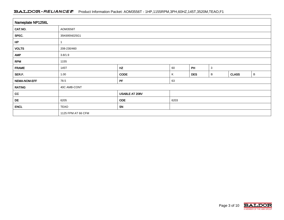### BALDOR · RELIANCE F Product Information Packet: AOM3556T - 1HP,1155RPM,3PH,60HZ,145T,3520M,TEAO,F1

| Nameplate NP1256L |                    |                |                      |    |              |              |             |  |  |
|-------------------|--------------------|----------------|----------------------|----|--------------|--------------|-------------|--|--|
| CAT.NO.           | AOM3556T           |                |                      |    |              |              |             |  |  |
| SPEC.             | 35K695N025G1       |                |                      |    |              |              |             |  |  |
| HP                |                    |                |                      |    |              |              |             |  |  |
| <b>VOLTS</b>      | 208-230/460        |                |                      |    |              |              |             |  |  |
| <b>AMP</b>        | 3.8/1.9            |                |                      |    |              |              |             |  |  |
| <b>RPM</b>        | 1155               |                |                      |    |              |              |             |  |  |
| <b>FRAME</b>      | 145T               | HZ             | 60                   | PH | $\mathbf{3}$ |              |             |  |  |
| SER.F.            | 1.00               | <b>CODE</b>    | <b>DES</b><br>Κ<br>В |    |              | <b>CLASS</b> | $\mathsf B$ |  |  |
| NEMA-NOM-EFF      | 78.5               | PF             | 63                   |    |              |              |             |  |  |
| <b>RATING</b>     | 40C AMB-CONT       |                |                      |    |              |              |             |  |  |
| cc                |                    | USABLE AT 208V |                      |    |              |              |             |  |  |
| DE                | 6205               | <b>ODE</b>     | 6203                 |    |              |              |             |  |  |
| <b>ENCL</b>       | <b>TEAO</b>        | <b>SN</b>      |                      |    |              |              |             |  |  |
|                   | 1125 FPM AT 66 CFM |                |                      |    |              |              |             |  |  |

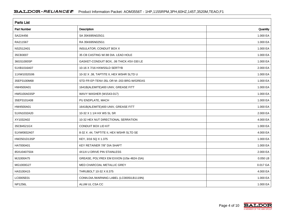| <b>Parts List</b>  |                                          |          |  |  |  |  |
|--------------------|------------------------------------------|----------|--|--|--|--|
| <b>Part Number</b> | Description                              | Quantity |  |  |  |  |
| SA224456           | SA 35K695N025G1                          | 1.000 EA |  |  |  |  |
| RA211567           | RA 35K695N025G1                          | 1.000 EA |  |  |  |  |
| NS2512A01          | <b>INSULATOR, CONDUIT BOX X</b>          | 1.000 EA |  |  |  |  |
| 35CB3007           | 35 CB CASTING W/.88 DIA, LEAD HOLE       | 1.000 EA |  |  |  |  |
| 36GS1000SP         | GASKET-CONDUIT BOX, .06 THICK #SV-330 LE | 1.000 EA |  |  |  |  |
| 51XB1016A07        | 10-16 X 7/16 HXWSSLD SERTYB              | 2.000 EA |  |  |  |  |
| 11XW1032G06        | 10-32 X .38, TAPTITE II, HEX WSHR SLTD U | 1.000 EA |  |  |  |  |
| 35EP3100M68        | STD FR EP-TENV-35L OR M--203 BRG-W/GREAS | 1.000 EA |  |  |  |  |
| HW4500A01          | 1641B(ALEMITE)400 UNIV, GREASE FITT      | 1.000 EA |  |  |  |  |
| HW5100A03SP        | WAVY WASHER (W1543-017)                  | 1.000 EA |  |  |  |  |
| 35EP3101A08        | PU ENDPLATE, MACH                        | 1.000 EA |  |  |  |  |
| HW4500A01          | 1641B(ALEMITE)400 UNIV, GREASE FITT      | 1.000 EA |  |  |  |  |
| 51XN1032A20        | 10-32 X 1 1/4 HX WS SL SR                | 2.000 EA |  |  |  |  |
| XY1032A02          | 10-32 HEX NUT DIRECTIONAL SERRATION      | 4.000 EA |  |  |  |  |
| 35CB4521GX         | CONDUIT BOX LID KIT                      | 1.000 EA |  |  |  |  |
| 51XW0832A07        | 8-32 X .44, TAPTITE II, HEX WSHR SLTD SE | 4.000 EA |  |  |  |  |
| HW2501D13SP        | KEY, 3/16 SQ X 1.375                     | 1.000 EA |  |  |  |  |
| HA7000A01          | KEY RETAINER 7/8" DIA SHAFT              | 1.000 EA |  |  |  |  |
| 85XU0407S04        | 4X1/4 U DRIVE PIN STAINLESS              | 2.000 EA |  |  |  |  |
| MJ1000A75          | GREASE, POLYREX EM EXXON (USe 4824-15A)  | 0.050 LB |  |  |  |  |
| MG1000G27          | MED CHARCOAL METALLIC GREY               | 0.017 GA |  |  |  |  |
| HA3100A15          | THRUBOLT 10-32 X 8.375                   | 4.000 EA |  |  |  |  |
| LC0005E01          | CONN.DIA./WARNING LABEL (LC0005/LB1119N) | 1.000 EA |  |  |  |  |
| NP1256L            | ALUM UL CSA CC                           | 1.000 EA |  |  |  |  |

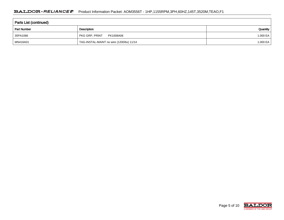| <b>Parts List (continued)</b> |                                          |          |  |  |  |  |
|-------------------------------|------------------------------------------|----------|--|--|--|--|
| <b>Part Number</b>            | Description                              | Quantity |  |  |  |  |
| 35PA1066                      | PKG GRP, PRINT<br>PK1008A06              | 1.000 EA |  |  |  |  |
| MN416A01                      | TAG-INSTAL-MAINT no wire (1200/bx) 11/14 | 1.000 EA |  |  |  |  |

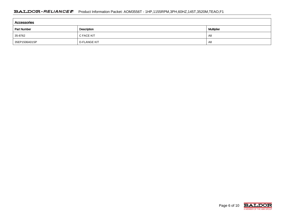| Accessories        |                     |    |  |  |  |  |  |
|--------------------|---------------------|----|--|--|--|--|--|
| <b>Part Number</b> | <b>Multiplier</b>   |    |  |  |  |  |  |
| 35-8762            | C FACE KIT          | A8 |  |  |  |  |  |
| 35EP1506A01SP      | <b>D-FLANGE KIT</b> | A8 |  |  |  |  |  |

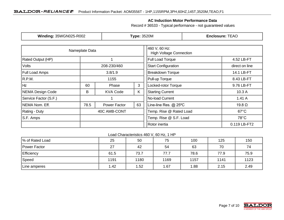### **AC Induction Motor Performance Data**

Record # 36533 - Typical performance - not guaranteed values

| <b>Winding: 35WGN025-R002</b> |                | <b>Type: 3520M</b>  |                                                 | <b>Enclosure: TEAO</b>     |                |  |
|-------------------------------|----------------|---------------------|-------------------------------------------------|----------------------------|----------------|--|
|                               | Nameplate Data |                     | 460 V, 60 Hz:<br><b>High Voltage Connection</b> |                            |                |  |
| <b>Rated Output (HP)</b>      |                |                     | Full Load Torque                                |                            |                |  |
| <b>Volts</b>                  | 208-230/460    |                     |                                                 | <b>Start Configuration</b> | direct on line |  |
| <b>Full Load Amps</b>         | 3.8/1.9        |                     |                                                 | <b>Breakdown Torque</b>    | 14.1 LB-FT     |  |
| R.P.M.                        | 1155           |                     | Pull-up Torque                                  | 8.43 LB-FT                 |                |  |
| ∣Hz<br>3<br>60<br>Phase       |                | Locked-rotor Torque | 9.76 LB-FT                                      |                            |                |  |
| NEMA Design Code              | B              | <b>KVA Code</b>     | K.                                              | <b>Starting Current</b>    | 10.3A          |  |
| Service Factor (S.F.)         |                |                     | No-load Current                                 | 1.41A                      |                |  |
| NEMA Nom. Eff.                | 78.5           | Power Factor        | 63                                              | Line-line Res. @ 25°C      | 19.8 $\Omega$  |  |
| Rating - Duty                 | 40C AMB-CONT   |                     |                                                 | Temp. Rise @ Rated Load    | $67^{\circ}$ C |  |
| S.F. Amps                     |                |                     |                                                 | Temp. Rise @ S.F. Load     | $78^{\circ}$ C |  |
|                               |                |                     |                                                 | Rotor inertia              | 0.119 LB-FT2   |  |

Load Characteristics 460 V, 60 Hz, 1 HP

| % of Rated Load | 25   | 50   | 75   | 100  | 125  | 150  |
|-----------------|------|------|------|------|------|------|
| Power Factor    | 27   | 42   | 54   | 63   | 70   | 74   |
| Efficiency      | 61.5 | 73.7 | 77.7 | 78.6 | 77.9 | 75.9 |
| Speed           | 1191 | 1180 | 1169 | 1157 | 1141 | 1123 |
| Line amperes    | 1.42 | 1.52 | 1.67 | 1.88 | 2.15 | 2.49 |

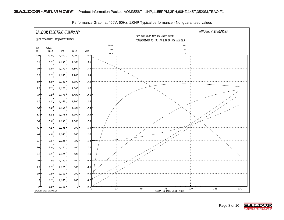

Performance Graph at 460V, 60Hz, 1.0HP Typical performance - Not guaranteed values

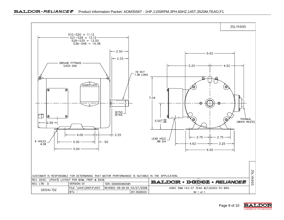